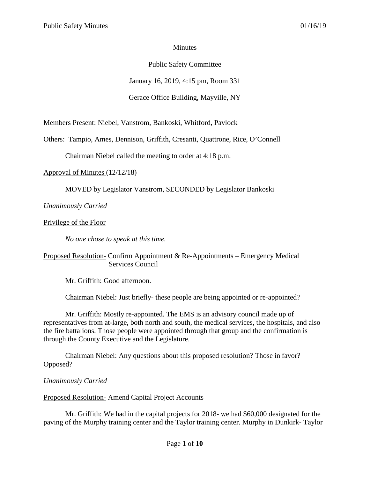### **Minutes**

# Public Safety Committee

January 16, 2019, 4:15 pm, Room 331

# Gerace Office Building, Mayville, NY

Members Present: Niebel, Vanstrom, Bankoski, Whitford, Pavlock

Others: Tampio, Ames, Dennison, Griffith, Cresanti, Quattrone, Rice, O'Connell

Chairman Niebel called the meeting to order at 4:18 p.m.

Approval of Minutes (12/12/18)

MOVED by Legislator Vanstrom, SECONDED by Legislator Bankoski

*Unanimously Carried*

Privilege of the Floor

*No one chose to speak at this time.*

## Proposed Resolution- Confirm Appointment & Re-Appointments – Emergency Medical Services Council

Mr. Griffith: Good afternoon.

Chairman Niebel: Just briefly- these people are being appointed or re-appointed?

Mr. Griffith: Mostly re-appointed. The EMS is an advisory council made up of representatives from at-large, both north and south, the medical services, the hospitals, and also the fire battalions. Those people were appointed through that group and the confirmation is through the County Executive and the Legislature.

Chairman Niebel: Any questions about this proposed resolution? Those in favor? Opposed?

*Unanimously Carried*

Proposed Resolution- Amend Capital Project Accounts

Mr. Griffith: We had in the capital projects for 2018- we had \$60,000 designated for the paving of the Murphy training center and the Taylor training center. Murphy in Dunkirk- Taylor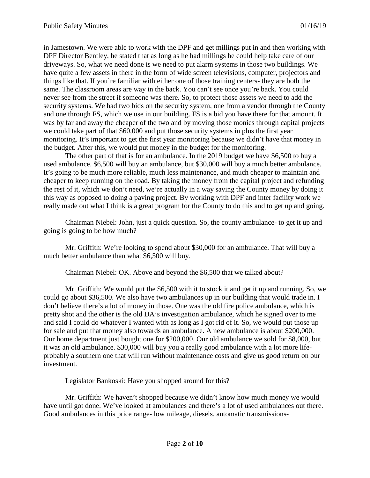in Jamestown. We were able to work with the DPF and get millings put in and then working with DPF Director Bentley, he stated that as long as he had millings he could help take care of our driveways. So, what we need done is we need to put alarm systems in those two buildings. We have quite a few assets in there in the form of wide screen televisions, computer, projectors and things like that. If you're familiar with either one of those training centers- they are both the same. The classroom areas are way in the back. You can't see once you're back. You could never see from the street if someone was there. So, to protect those assets we need to add the security systems. We had two bids on the security system, one from a vendor through the County and one through FS, which we use in our building. FS is a bid you have there for that amount. It was by far and away the cheaper of the two and by moving those monies through capital projects we could take part of that \$60,000 and put those security systems in plus the first year monitoring. It's important to get the first year monitoring because we didn't have that money in the budget. After this, we would put money in the budget for the monitoring.

The other part of that is for an ambulance. In the 2019 budget we have \$6,500 to buy a used ambulance. \$6,500 will buy an ambulance, but \$30,000 will buy a much better ambulance. It's going to be much more reliable, much less maintenance, and much cheaper to maintain and cheaper to keep running on the road. By taking the money from the capital project and refunding the rest of it, which we don't need, we're actually in a way saving the County money by doing it this way as opposed to doing a paving project. By working with DPF and inter facility work we really made out what I think is a great program for the County to do this and to get up and going.

Chairman Niebel: John, just a quick question. So, the county ambulance- to get it up and going is going to be how much?

Mr. Griffith: We're looking to spend about \$30,000 for an ambulance. That will buy a much better ambulance than what \$6,500 will buy.

Chairman Niebel: OK. Above and beyond the \$6,500 that we talked about?

Mr. Griffith: We would put the \$6,500 with it to stock it and get it up and running. So, we could go about \$36,500. We also have two ambulances up in our building that would trade in. I don't believe there's a lot of money in those. One was the old fire police ambulance, which is pretty shot and the other is the old DA's investigation ambulance, which he signed over to me and said I could do whatever I wanted with as long as I got rid of it. So, we would put those up for sale and put that money also towards an ambulance. A new ambulance is about \$200,000. Our home department just bought one for \$200,000. Our old ambulance we sold for \$8,000, but it was an old ambulance. \$30,000 will buy you a really good ambulance with a lot more lifeprobably a southern one that will run without maintenance costs and give us good return on our investment.

Legislator Bankoski: Have you shopped around for this?

Mr. Griffith: We haven't shopped because we didn't know how much money we would have until got done. We've looked at ambulances and there's a lot of used ambulances out there. Good ambulances in this price range- low mileage, diesels, automatic transmissions-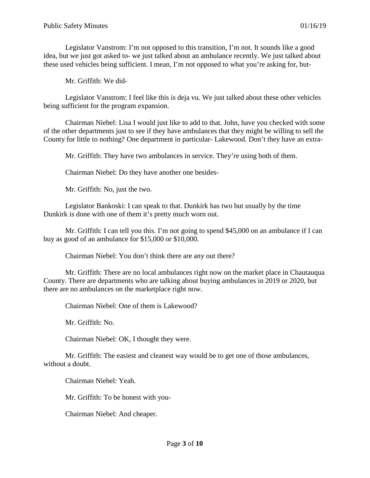Legislator Vanstrom: I'm not opposed to this transition, I'm not. It sounds like a good idea, but we just got asked to- we just talked about an ambulance recently. We just talked about these used vehicles being sufficient. I mean, I'm not opposed to what you're asking for, but-

Mr. Griffith: We did-

Legislator Vanstrom: I feel like this is deja vu. We just talked about these other vehicles being sufficient for the program expansion.

Chairman Niebel: Lisa I would just like to add to that. John, have you checked with some of the other departments just to see if they have ambulances that they might be willing to sell the County for little to nothing? One department in particular- Lakewood. Don't they have an extra-

Mr. Griffith: They have two ambulances in service. They're using both of them.

Chairman Niebel: Do they have another one besides-

Mr. Griffith: No, just the two.

Legislator Bankoski: I can speak to that. Dunkirk has two but usually by the time Dunkirk is done with one of them it's pretty much worn out.

Mr. Griffith: I can tell you this. I'm not going to spend \$45,000 on an ambulance if I can buy as good of an ambulance for \$15,000 or \$10,000.

Chairman Niebel: You don't think there are any out there?

Mr. Griffith: There are no local ambulances right now on the market place in Chautauqua County. There are departments who are talking about buying ambulances in 2019 or 2020, but there are no ambulances on the marketplace right now.

Chairman Niebel: One of them is Lakewood?

Mr. Griffith: No.

Chairman Niebel: OK, I thought they were.

Mr. Griffith: The easiest and cleanest way would be to get one of those ambulances, without a doubt.

Chairman Niebel: Yeah.

Mr. Griffith: To be honest with you-

Chairman Niebel: And cheaper.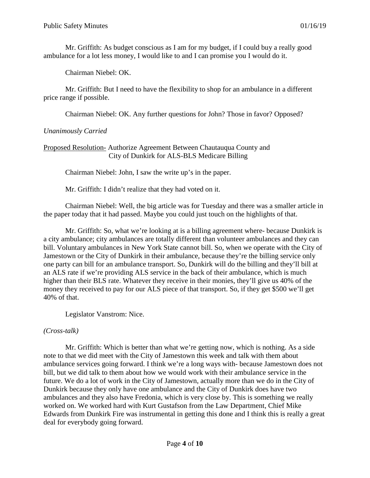Mr. Griffith: As budget conscious as I am for my budget, if I could buy a really good ambulance for a lot less money, I would like to and I can promise you I would do it.

Chairman Niebel: OK.

Mr. Griffith: But I need to have the flexibility to shop for an ambulance in a different price range if possible.

Chairman Niebel: OK. Any further questions for John? Those in favor? Opposed?

## *Unanimously Carried*

## Proposed Resolution- Authorize Agreement Between Chautauqua County and City of Dunkirk for ALS-BLS Medicare Billing

Chairman Niebel: John, I saw the write up's in the paper.

Mr. Griffith: I didn't realize that they had voted on it.

Chairman Niebel: Well, the big article was for Tuesday and there was a smaller article in the paper today that it had passed. Maybe you could just touch on the highlights of that.

Mr. Griffith: So, what we're looking at is a billing agreement where- because Dunkirk is a city ambulance; city ambulances are totally different than volunteer ambulances and they can bill. Voluntary ambulances in New York State cannot bill. So, when we operate with the City of Jamestown or the City of Dunkirk in their ambulance, because they're the billing service only one party can bill for an ambulance transport. So, Dunkirk will do the billing and they'll bill at an ALS rate if we're providing ALS service in the back of their ambulance, which is much higher than their BLS rate. Whatever they receive in their monies, they'll give us 40% of the money they received to pay for our ALS piece of that transport. So, if they get \$500 we'll get 40% of that.

Legislator Vanstrom: Nice.

### *(Cross-talk)*

Mr. Griffith: Which is better than what we're getting now, which is nothing. As a side note to that we did meet with the City of Jamestown this week and talk with them about ambulance services going forward. I think we're a long ways with- because Jamestown does not bill, but we did talk to them about how we would work with their ambulance service in the future. We do a lot of work in the City of Jamestown, actually more than we do in the City of Dunkirk because they only have one ambulance and the City of Dunkirk does have two ambulances and they also have Fredonia, which is very close by. This is something we really worked on. We worked hard with Kurt Gustafson from the Law Department, Chief Mike Edwards from Dunkirk Fire was instrumental in getting this done and I think this is really a great deal for everybody going forward.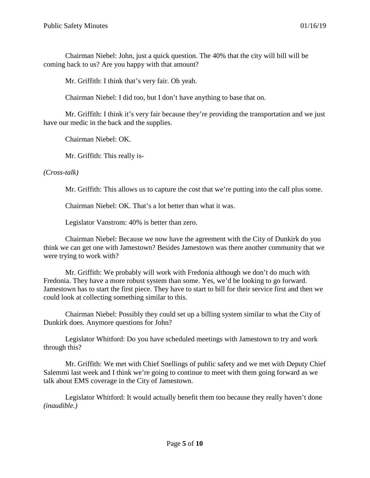Chairman Niebel: John, just a quick question. The 40% that the city will bill will be coming back to us? Are you happy with that amount?

Mr. Griffith: I think that's very fair. Oh yeah.

Chairman Niebel: I did too, but I don't have anything to base that on.

Mr. Griffith: I think it's very fair because they're providing the transportation and we just have our medic in the back and the supplies.

Chairman Niebel: OK.

Mr. Griffith: This really is-

*(Cross-talk)*

Mr. Griffith: This allows us to capture the cost that we're putting into the call plus some.

Chairman Niebel: OK. That's a lot better than what it was.

Legislator Vanstrom: 40% is better than zero.

Chairman Niebel: Because we now have the agreement with the City of Dunkirk do you think we can get one with Jamestown? Besides Jamestown was there another community that we were trying to work with?

Mr. Griffith: We probably will work with Fredonia although we don't do much with Fredonia. They have a more robust system than some. Yes, we'd be looking to go forward. Jamestown has to start the first piece. They have to start to bill for their service first and then we could look at collecting something similar to this.

Chairman Niebel: Possibly they could set up a billing system similar to what the City of Dunkirk does. Anymore questions for John?

Legislator Whitford: Do you have scheduled meetings with Jamestown to try and work through this?

Mr. Griffith: We met with Chief Snellings of public safety and we met with Deputy Chief Salemmi last week and I think we're going to continue to meet with them going forward as we talk about EMS coverage in the City of Jamestown.

Legislator Whitford: It would actually benefit them too because they really haven't done *(inaudible.)*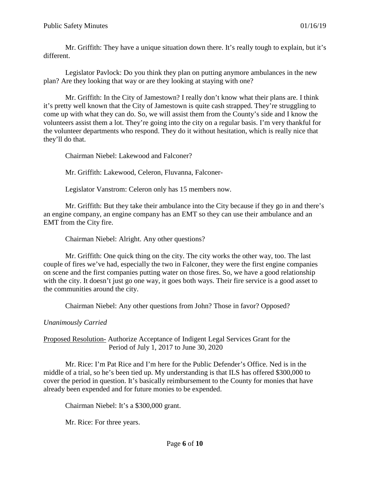Mr. Griffith: They have a unique situation down there. It's really tough to explain, but it's different.

Legislator Pavlock: Do you think they plan on putting anymore ambulances in the new plan? Are they looking that way or are they looking at staying with one?

Mr. Griffith: In the City of Jamestown? I really don't know what their plans are. I think it's pretty well known that the City of Jamestown is quite cash strapped. They're struggling to come up with what they can do. So, we will assist them from the County's side and I know the volunteers assist them a lot. They're going into the city on a regular basis. I'm very thankful for the volunteer departments who respond. They do it without hesitation, which is really nice that they'll do that.

Chairman Niebel: Lakewood and Falconer?

Mr. Griffith: Lakewood, Celeron, Fluvanna, Falconer-

Legislator Vanstrom: Celeron only has 15 members now.

Mr. Griffith: But they take their ambulance into the City because if they go in and there's an engine company, an engine company has an EMT so they can use their ambulance and an EMT from the City fire.

Chairman Niebel: Alright. Any other questions?

Mr. Griffith: One quick thing on the city. The city works the other way, too. The last couple of fires we've had, especially the two in Falconer, they were the first engine companies on scene and the first companies putting water on those fires. So, we have a good relationship with the city. It doesn't just go one way, it goes both ways. Their fire service is a good asset to the communities around the city.

Chairman Niebel: Any other questions from John? Those in favor? Opposed?

## *Unanimously Carried*

Proposed Resolution- Authorize Acceptance of Indigent Legal Services Grant for the Period of July 1, 2017 to June 30, 2020

Mr. Rice: I'm Pat Rice and I'm here for the Public Defender's Office. Ned is in the middle of a trial, so he's been tied up. My understanding is that ILS has offered \$300,000 to cover the period in question. It's basically reimbursement to the County for monies that have already been expended and for future monies to be expended.

Chairman Niebel: It's a \$300,000 grant.

Mr. Rice: For three years.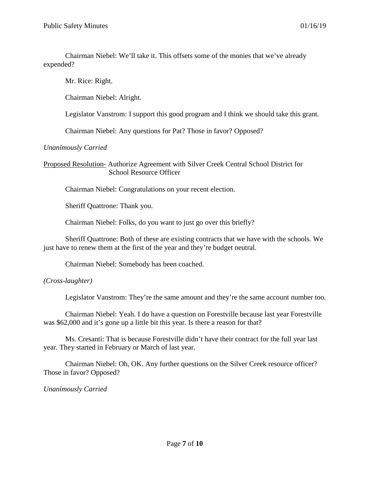Chairman Niebel: We'll take it. This offsets some of the monies that we've already expended?

Mr. Rice: Right.

Chairman Niebel: Alright.

Legislator Vanstrom: I support this good program and I think we should take this grant.

Chairman Niebel: Any questions for Pat? Those in favor? Opposed?

### *Unanimously Carried*

Proposed Resolution- Authorize Agreement with Silver Creek Central School District for School Resource Officer

Chairman Niebel: Congratulations on your recent election.

Sheriff Quattrone: Thank you.

Chairman Niebel: Folks, do you want to just go over this briefly?

Sheriff Quattrone: Both of these are existing contracts that we have with the schools. We just have to renew them at the first of the year and they're budget neutral.

Chairman Niebel: Somebody has been coached.

### *(Cross-laughter)*

Legislator Vanstrom: They're the same amount and they're the same account number too.

Chairman Niebel: Yeah. I do have a question on Forestville because last year Forestville was \$62,000 and it's gone up a little bit this year. Is there a reason for that?

Ms. Cresanti: That is because Forestville didn't have their contract for the full year last year. They started in February or March of last year.

Chairman Niebel: Oh, OK. Any further questions on the Silver Creek resource officer? Those in favor? Opposed?

*Unanimously Carried*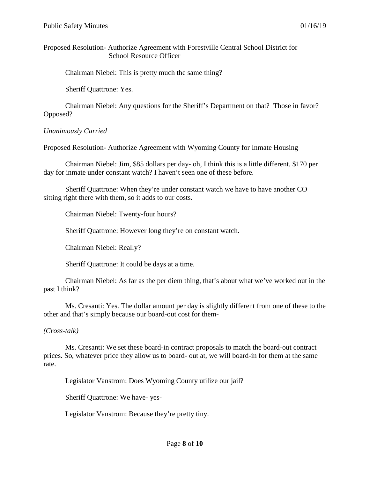Proposed Resolution- Authorize Agreement with Forestville Central School District for School Resource Officer

Chairman Niebel: This is pretty much the same thing?

Sheriff Quattrone: Yes.

Chairman Niebel: Any questions for the Sheriff's Department on that? Those in favor? Opposed?

#### *Unanimously Carried*

Proposed Resolution- Authorize Agreement with Wyoming County for Inmate Housing

Chairman Niebel: Jim, \$85 dollars per day- oh, I think this is a little different. \$170 per day for inmate under constant watch? I haven't seen one of these before.

Sheriff Quattrone: When they're under constant watch we have to have another CO sitting right there with them, so it adds to our costs.

Chairman Niebel: Twenty-four hours?

Sheriff Quattrone: However long they're on constant watch.

Chairman Niebel: Really?

Sheriff Quattrone: It could be days at a time.

Chairman Niebel: As far as the per diem thing, that's about what we've worked out in the past I think?

Ms. Cresanti: Yes. The dollar amount per day is slightly different from one of these to the other and that's simply because our board-out cost for them-

#### *(Cross-talk)*

Ms. Cresanti: We set these board-in contract proposals to match the board-out contract prices. So, whatever price they allow us to board- out at, we will board-in for them at the same rate.

Legislator Vanstrom: Does Wyoming County utilize our jail?

Sheriff Quattrone: We have- yes-

Legislator Vanstrom: Because they're pretty tiny.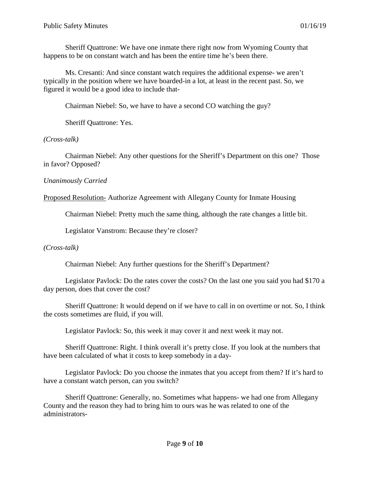Sheriff Quattrone: We have one inmate there right now from Wyoming County that happens to be on constant watch and has been the entire time he's been there.

Ms. Cresanti: And since constant watch requires the additional expense- we aren't typically in the position where we have boarded-in a lot, at least in the recent past. So, we figured it would be a good idea to include that-

Chairman Niebel: So, we have to have a second CO watching the guy?

Sheriff Quattrone: Yes.

### *(Cross-talk)*

Chairman Niebel: Any other questions for the Sheriff's Department on this one? Those in favor? Opposed?

## *Unanimously Carried*

Proposed Resolution- Authorize Agreement with Allegany County for Inmate Housing

Chairman Niebel: Pretty much the same thing, although the rate changes a little bit.

Legislator Vanstrom: Because they're closer?

## *(Cross-talk)*

Chairman Niebel: Any further questions for the Sheriff's Department?

Legislator Pavlock: Do the rates cover the costs? On the last one you said you had \$170 a day person, does that cover the cost?

Sheriff Quattrone: It would depend on if we have to call in on overtime or not. So, I think the costs sometimes are fluid, if you will.

Legislator Pavlock: So, this week it may cover it and next week it may not.

Sheriff Quattrone: Right. I think overall it's pretty close. If you look at the numbers that have been calculated of what it costs to keep somebody in a day-

Legislator Pavlock: Do you choose the inmates that you accept from them? If it's hard to have a constant watch person, can you switch?

Sheriff Quattrone: Generally, no. Sometimes what happens- we had one from Allegany County and the reason they had to bring him to ours was he was related to one of the administrators